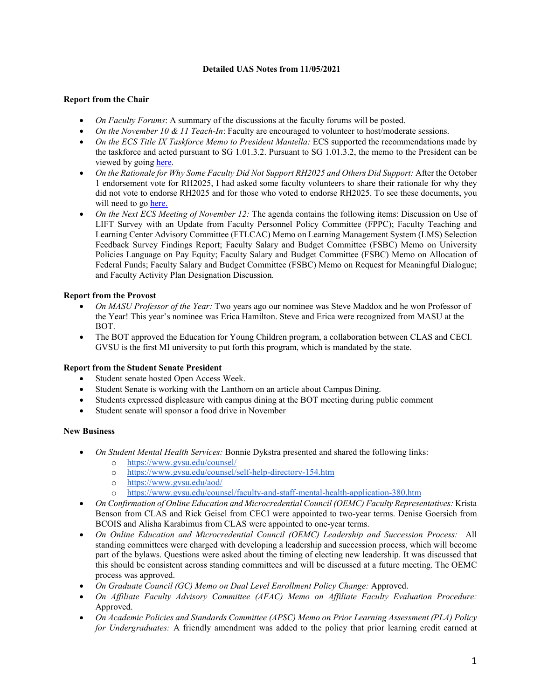## **Detailed UAS Notes from 11/05/2021**

## **Report from the Chair**

- *On Faculty Forums*: A summary of the discussions at the faculty forums will be posted.
- *On the November 10 & 11 Teach-In*: Faculty are encouraged to volunteer to host/moderate sessions.
- *On the ECS Title IX Taskforce Memo to President Mantella:* ECS supported the recommendations made by the taskforce and acted pursuant to SG 1.01.3.2. Pursuant to SG 1.01.3.2, the memo to the President can be viewed by going [here.](https://www.gvsu.edu/cms4/asset/C16779EA-9D38-F555-CABFD19776FFF6DB/final_title_ix_memo_to_president_mantella_november_5_2021.pdf)
- *On the Rationale for Why Some Faculty Did Not Support RH2025 and Others Did Support:* After the October 1 endorsement vote for RH2025, I had asked some faculty volunteers to share their rationale for why they did not vote to endorse RH2025 and for those who voted to endorse RH2025. To see these documents, you will need to go [here.](https://www.gvsu.edu/facultygov/secure-senate-meeting-support-material-202.htm)
- *On the Next ECS Meeting of November 12:* The agenda contains the following items: Discussion on Use of LIFT Survey with an Update from Faculty Personnel Policy Committee (FPPC); Faculty Teaching and Learning Center Advisory Committee (FTLCAC) Memo on Learning Management System (LMS) Selection Feedback Survey Findings Report; Faculty Salary and Budget Committee (FSBC) Memo on University Policies Language on Pay Equity; Faculty Salary and Budget Committee (FSBC) Memo on Allocation of Federal Funds; Faculty Salary and Budget Committee (FSBC) Memo on Request for Meaningful Dialogue; and Faculty Activity Plan Designation Discussion.

# **Report from the Provost**

- *On MASU Professor of the Year:* Two years ago our nominee was Steve Maddox and he won Professor of the Year! This year's nominee was Erica Hamilton. Steve and Erica were recognized from MASU at the BOT.
- The BOT approved the Education for Young Children program, a collaboration between CLAS and CECI. GVSU is the first MI university to put forth this program, which is mandated by the state.

### **Report from the Student Senate President**

- Student senate hosted Open Access Week.
- Student Senate is working with the Lanthorn on an article about Campus Dining.
- Students expressed displeasure with campus dining at the BOT meeting during public comment
- Student senate will sponsor a food drive in November

### **New Business**

- *On Student Mental Health Services:* Bonnie Dykstra presented and shared the following links:
	- o <https://www.gvsu.edu/counsel/>
	- o <https://www.gvsu.edu/counsel/self-help-directory-154.htm>
	- o <https://www.gvsu.edu/aod/><br>o https://www.gvsu.edu/coun
	- <https://www.gvsu.edu/counsel/faculty-and-staff-mental-health-application-380.htm>
- *On Confirmation of Online Education and Microcredential Council (OEMC) Faculty Representatives:* Krista Benson from CLAS and Rick Geisel from CECI were appointed to two-year terms. Denise Goersich from BCOIS and Alisha Karabimus from CLAS were appointed to one-year terms.
- *On Online Education and Microcredential Council (OEMC) Leadership and Succession Process:* All standing committees were charged with developing a leadership and succession process, which will become part of the bylaws. Questions were asked about the timing of electing new leadership. It was discussed that this should be consistent across standing committees and will be discussed at a future meeting. The OEMC process was approved.
- *On Graduate Council (GC) Memo on Dual Level Enrollment Policy Change:* Approved.
- *On Affiliate Faculty Advisory Committee (AFAC) Memo on Affiliate Faculty Evaluation Procedure:*  Approved.
- *On Academic Policies and Standards Committee (APSC) Memo on Prior Learning Assessment (PLA) Policy for Undergraduates:* A friendly amendment was added to the policy that prior learning credit earned at